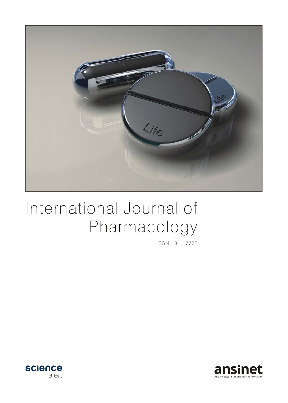

# International Journal of Pharmacology

ISSN 1811-7775



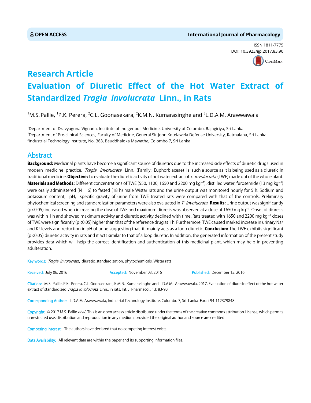ISSN 1811-7775 DOI: 10.3923/ijp.2017.83.90



## **Research Article Evaluation of Diuretic Effect of the Hot Water Extract of Standardized** *Tragia involucrata* **Linn., in Rats**

 $^1$ M.S. Pallie,  $^1$ P.K. Perera,  $^2$ C.L. Goonasekara,  $^2$ K.M.N. Kumarasinghe and  $^3$ L.D.A.M. Arawwawala

1 Department of Dravyaguna Vignana, Institute of Indigenous Medicine, University of Colombo, Rajagiriya, Sri Lanka 2 Department of Pre-clinical Sciences, Faculty of Medicine, General Sir John Kotelawela Defense University, Ratmalana, Sri Lanka 3 Industrial Technology Institute, No. 363, Bauddhaloka Mawatha, Colombo 7, Sri Lanka

### **Abstract**

**Background:** Medicinal plants have become a significant source of diuretics due to the increased side effects of diuretic drugs used in modern medicine practice. *Tragia involucrata* Linn. (Family: Euphorbiaceae) is such a source as it is being used as a diuretic in traditional medicine. Objective: To evaluate the diuretic activity of hot water extract of T. involucrata (TWE) made out of the whole plant.  $M$ aterials and Methods: Different concentrations of TWE (550, 1100, 1650 and 2200 mg kg<sup>-1</sup>), distilled water, furosemide (13 mg kg<sup>-1</sup>) were orally administered ( $N = 6$ ) to fasted (18 h) male Wistar rats and the urine output was monitored hourly for 5 h. Sodium and potassium content, pH, specific gravity of urine from TWE treated rats were compared with that of the controls. Preliminary phytochemical screening and standardization parameters were also evaluated in T. involucrata. Results: Urine output was significantly (p<0.05) increased when increasing the dose of TWE and maximum diuresis was observed at a dose of 1650 mg kg<sup>-1</sup>. Onset of diuresis was within 1 h and showed maximum activity and diuretic activity declined with time. Rats treated with 1650 and 2200 mg kg $^{\rm -1}$  doses of TWE were significantly (p<0.05) higher than that of the reference drug at 1 h. Furthermore, TWE caused marked increase in urinary Na+ and K<sup>+</sup> levels and reduction in pH of urine suggesting that it mainly acts as a loop diuretic. **Conclusion:** The TWE exhibits significant (p<0.05) diuretic activity in rats and it acts similar to that of a loop diuretic. In addition, the generated information of the present study provides data which will help the correct identification and authentication of this medicinal plant, which may help in preventing adulteration.

Key words: Tragia involucrata, diuretic, standardization, phytochemicals, Wistar rats

Received: July 06, 2016 **Accepted: November 03, 2016** Published: December 15, 2016

Citation: M.S. Pallie, P.K. Perera, C.L. Goonasekara, K.M.N. Kumarasinghe and L.D.A.M. Arawwawala, 2017. Evaluation of diuretic effect of the hot water extract of standardized Tragia involucrata Linn., in rats. Int. J. Pharmacol., 13: 83-90.

Corresponding Author: L.D.A.M. Arawwawala, Industrial Technology Institute, Colombo 7, Sri Lanka Fax: +94-112379848

Copyright: © 2017 M.S. Pallie et al. This is an open access article distributed under the terms of the creative commons attribution License, which permits unrestricted use, distribution and reproduction in any medium, provided the original author and source are credited.

Competing Interest: The authors have declared that no competing interest exists.

Data Availability: All relevant data are within the paper and its supporting information files.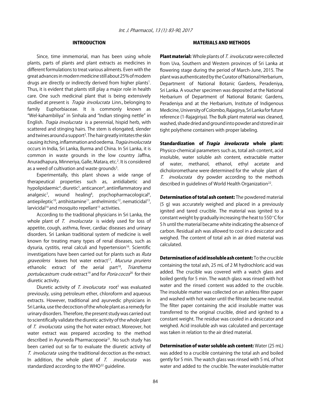#### INTRODUCTION

Since, time immemorial, man has been using whole plants, parts of plants and plant extracts as medicines in different formulations to treat various ailments. Even with the great advances in modern medicine still about 25% of modern drugs are directly or indirectly derived from higher plants<sup>1</sup>. Thus, it is evident that plants still play a major role in health care. One such medicinal plant that is being extensively studied at present is *Tragia involucrata* Linn., belonging to family Euphorbiaceae. It is commonly known as "Wel-kahambiliya" in Sinhala and "Indian stinging nettle" in English. *Tragia involucrata* is a perennial, hispid herb, with scattered and stinging hairs. The stem is elongated, slender and twines around a support<sup>2</sup>. The hair greatly irritates the skin causing itching, inflammation and oedema. Tragia involucrata occurs in India, Sri Lanka, Burma and China. In Sri Lanka, it is common in waste grounds in the low country Jaffna, Anuradhapura, Minneriya, Galle, Matara, etc.<sup>2</sup>. It is considered as a weed of cultivation and waste grounds<sup>3</sup>.

Experimentally, this plant shows a wide range of therapeutical properties such as, antidiabetic and hypolipidaemic<sup>4</sup>, diuretic<sup>5</sup>, anticancer<sup>6</sup>, antiinflammatory and analgesic<sup>7</sup>, wound healing<sup>8</sup>, psychopharmacological<sup>9</sup>, antiepileptic<sup>10</sup>, antihistamine<sup>11</sup>, anthelmintic<sup>12</sup>, nematicidal<sup>13</sup>, larvicidal<sup>14</sup> and mosquito repellant<sup>15</sup> activities.

According to the traditional physicians in Sri Lanka, the whole plant of T. involucrata is widely used for loss of appetite, cough, asthma, fever, cardiac diseases and urinary disorders. Sri Lankan traditional system of medicine is well known for treating many types of renal diseases, such as dysuria, cystitis, renal calculi and hypertension<sup>16</sup>. Scientific investigations have been carried out for plants such as Ruta graveolens leaves hot water extract<sup>17</sup>, Mucuna pruriens ethanolic extract of the aerial part<sup>18</sup>, Trianthema portulacastrum crude extract<sup>19</sup> and for *Poria cocos*<sup>20</sup> for their diuretic activity.

Diuretic activity of T. involucrata root<sup>5</sup> was evaluated previously, using petroleum ether, chloroform and aqueous extracts. However, traditional and ayurvedic physicians in Sri Lanka, use the decoction of the whole plant as a remedy for urinary disorders. Therefore, the present study was carried out to scientifically validate the diuretic activity of the whole plant of T. involucrata using the hot water extract. Moreover, hot water extract was prepared according to the method described in Ayurveda Pharmacopoeia<sup>21</sup>. No such study has been carried out so far to evaluate the diuretic activity of T. involucrata using the traditional decoction as the extract. In addition, the whole plant of  $T.$  involucrata was standardized according to the WHO<sup>22</sup> guideline.

#### MATERIALS AND METHODS

Plant material: Whole plants of T. involucrata were collected from Uva, Southern and Western provinces of Sri Lanka at flowering stage during the period of March-June, 2015. The plant was authenticated by the Curator of National Herbarium, Department of National Botanic Gardens, Peradeniya, Sri Lanka. A voucher specimen was deposited at the National Herbarium of Department of National Botanic Gardens, Peradeniya and at the Herbarium, Institute of Indigenous Medicine, University of Colombo, Rajagirya, Sri Lanka for future reference (1-Rajagiriya). The Bulk plant material was cleaned, washed, shade dried and ground into powder and stored in air tight polythene containers with proper labeling.

Standardization of *Tragia involucrata* whole plant: Physico-chemical parameters such as, total ash content, acid insoluble, water soluble ash content, extractable matter of water, methanol, ethanol, ethyl acetate and dicholoromethane were determined for the whole plant of T. *involucrata* dry powder according to the methods described in quidelines of World Health Organization<sup>22</sup>.

Determination of total ash content: The powdered material (5 g) was accurately weighed and placed in a previously ignited and tared crucible. The material was ignited to a constant weight by gradually increasing the heat to  $550^{\circ}$ C for 5 h until the material became white indicating the absence of carbon. Residual ash was allowed to cool in a desiccator and weighed. The content of total ash in air dried material was calculated.

Determination of acid insoluble ash content: To the crucible containing the total ash, 25 mL of 2 M hydrochloric acid was added. The crucible was covered with a watch glass and boiled gently for 5 min. The watch glass was rinsed with hot water and the rinsed content was added to the crucible. The insoluble matter was collected on an ashless filter paper and washed with hot water until the filtrate became neutral. The filter paper containing the acid insoluble matter was transferred to the original crucible, dried and ignited to a constant weight. The residue was cooled in a desiccator and weighed. Acid insoluble ash was calculated and percentage was taken in relation to the air dried material.

Determination of water soluble ash content: Water (25 mL) was added to a crucible containing the total ash and boiled gently for 5 min. The watch glass was rinsed with 5 mL of hot water and added to the crucible. The water insoluble matter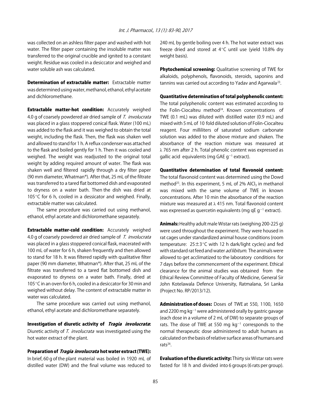was collected on an ashless filter paper and washed with hot water. The filter paper containing the insoluble matter was transferred to the original crucible and ignited to a constant weight. Residue was cooled in a desiccator and weighed and water soluble ash was calculated.

**Determination of extractable matter:** Extractable matter was determined using water, methanol, ethanol, ethyl acetate and dichloromethane.

**Extractable matter-hot condition:** Accurately weighed 4.0 g of coarsely powdered air dried sample of T. involucrata was placed in a glass stoppered conical flask. Water (100 mL) was added to the flask and it was weighed to obtain the total weight, including the flask. Then, the flask was shaken well and allowed to stand for 1 h. A reflux condenser was attached to the flask and boiled gently for 1 h. Then it was cooled and weighed. The weight was readjusted to the original total weight by adding required amount of water. The flask was shaken well and filtered rapidly through a dry filter paper (90 mm diameter, Whatman®). After that, 25 mL of the filtrate was transferred to a tared flat bottomed dish and evaporated to dryness on a water bath. Then the dish was dried at 105 $\degree$ C for 6 h, cooled in a dessicator and weighed. Finally, extractable matter was calculated.

The same procedure was carried out using methanol, ethanol, ethyl acetate and dichloromethane separately.

**Extractable matter-cold condition:** Accurately weighed 4.0 g of coarsely powdered air dried sample of T. involucrata was placed in a glass stoppered conical flask, macerated with 100 mL of water for 6 h, shaken frequently and then allowed to stand for 18 h. It was filtered rapidly with qualitative filter paper (90 mm diameter, Whatman®). After that, 25 mL of the filtrate was transferred to a tared flat bottomed dish and evaporated to dryness on a water bath. Finally, dried at 105 $^{\circ}$ C in an oven for 6 h, cooled in a desiccator for 30 min and weighed without delay. The content of extractable matter in water was calculated.

The same procedure was carried out using methanol, ethanol, ethyl acetate and dichloromethane separately.

Investigation of diuretic activity of Tragia involucrata: Diuretic activity of T. involucrata was investigated using the hot water extract of the plant.

Preparation of *Tragia involucrata* hot water extract (TWE): In brief, 60 g of the plant material was boiled in 1920 mL of distilled water (DW) and the final volume was reduced to

240 mL by gentle boiling over 4 h. The hot water extract was freeze dried and stored at  $4^{\circ}$ C until use (yield 10.8% dry weight basis).

**Phytochemical screening:** Qualitative screening of TWE for alkaloids, polyphenols, flavonoids, steroids, saponins and tannins was carried out according to Yadav and Agarwala<sup>23</sup>.

#### Quantitative determination of total polyphenolic content:

The total polyphenolic content was estimated according to the Folin-Ciocalteu method $24$ . Known concentrations of TWE (0.1 mL) was diluted with distilled water (0.9 mL) and mixed with 5 mL of 10 fold diluted solution of Folin-Ciocalteu reagent. Four milliliters of saturated sodium carbonate solution was added to the above mixture and shaken. The absorbance of the reaction mixture was measured at λ 765 nm after 2 h. Total phenolic content was expressed as gallic acid equivalents (mg GAE  $g^{-1}$  extract).

#### Quantitative determination of total flavonoid content:

The total flavonoid content was determined using the Dowd method<sup>25</sup>. In this experiment, 5 mL of 2% AlCl<sub>3</sub> in methanol was mixed with the same volume of TWE in known concentrations. After 10 min the absorbance of the reaction mixture was measured at λ 415 nm. Total flavonoid content was expressed as quercetin equivalents (mg qE g<sup>-1</sup> extract).

Animals: Healthy adult male Wistar rats (weighing 200-225 g) were used throughout the experiment. They were housed in rat cages under standardized animal house conditions (room temperature:  $25 \pm 3^{\circ}$ C with 12 h dark/light cycles) and fed with standard rat feed and water *ad libitum*. The animals were allowed to get acclimatized to the laboratory conditions for 7 days before the commencement of the experiment. Ethical clearance for the animal studies was obtained from the Ethical Review Committee of Faculty of Medicine, General Sir John Kotelawala Defence University, Ratmalana, Sri Lanka (Project No. RP/2013/12).

Administration of doses: Doses of TWE at 550, 1100, 1650 and 2200 mg kg $^{-1}$  were administered orally by gastric gavage (each dose in a volume of 2 mL of DW) to separate groups of rats. The dose of TWE at 550 mg  $kg^{-1}$  corresponds to the normal therapeutic dose administered to adult humans as calculated on the basis of relative surface areas of humans and rats $26$ .

Evaluation of the diuretic activity: Thirty six Wistar rats were fasted for 18 h and divided into 6 groups (6 rats per group).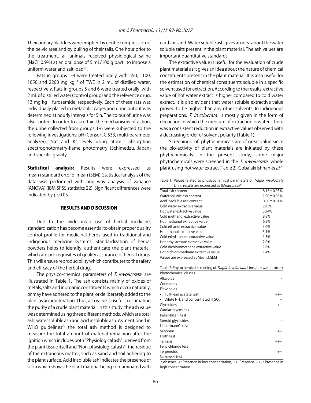Their urinary bladders were emptied by gentle compression of the pelvic area and by pulling of their tails. One hour prior to the treatment, all animals received physiological saline (NaCl 0.9%) at an oral dose of 5 mL/100 g b.wt., to impose a uniform water and salt load<sup>27</sup>.

Rats in groups 1-4 were treated orally with 550, 1100, 1650 and 2200 mg  $kg^{-1}$  of TWE in 2 mL of distilled water, respectively. Rats in groups 5 and 6 were treated orally with 2 mL of distilled water (control group) and the reference drug, 13 mg  $kg^{-1}$  furosemide, respectively. Each of these rats was individually placed in metabolic cages and urine output was determined at hourly intervals for 5 h. The colour of urine was also noted. In order to ascertain the mechanisms of action, the urine collected from groups 1-6 were subjected to the following investigations: pH (Consort C 533, multi-parameter analyzer),  $Na^+$  and  $K^+$  levels using atomic absorption spectrophotometry-flame photometry (Schimedzu, Japan) and specific gravity.

**Statistical analysis:** Results were expressed as mean+standard error of mean (SEM). Statistical analysis of the data was performed with one way analysis of variance (ANOVA) (IBM SPSS statistics 22). Significant differences were indicated by  $p \geq 0.05$ .

#### RESULTS AND DISCUSSION

Due to the widespread use of herbal medicine, standardization has become essential to obtain proper quality control profile for medicinal herbs used in traditional and indigenous medicine systems. Standardization of herbal powders helps to identify, authenticate the plant material, which are pre requisites of quality assurance of herbal drugs. This will ensure reproducibility which contributes to the safety and efficacy of the herbal drug.

The physico-chemical parameters of T. involucrata are illustrated in Table 1. The ash consists mainly of oxides of metals, salts and inorganic constituents which occur naturally, or may have adhered to the plant, or deliberately added to the plant as an adulteration. Thus, ash value is useful in estimating the purity of a crude plant material. In this study, the ash value was determined using three different methods, which are total ash, water soluble ash and acid insoluble ash. As mentioned in WHO quidelines $^{22}$  the total ash method is designed to measure the total amount of material remaining after the ignition which includes both "Physiological ash", derived from the plant tissue itself and "Non-physiological ash", the residue of the extraneous matter, such as sand and soil adhering to the plant surface. Acid insoluble ash indicates the presence of silica which shows the plant material being contaminated with

earth or sand. Water soluble ash gives an idea about the water soluble salts present in the plant material. The ash values are important quantitative standards.

The extractive value is useful for the evaluation of crude plant material as it gives an idea about the nature of chemical constituents present in the plant material. It is also useful for the estimation of chemical constituents soluble in a specific solvent used for extraction. According to the results, extractive value of hot water extract is higher compared to cold water extract. It is also evident that water soluble extractive value proved to be higher than any other solvents. In indigenous preparations, T. involucrata is mostly given in the form of decoction in which the medium of extraction is water. There was a consistent reduction in extractive values observed with a decreasing order of solvent polarity (Table 1).

Screenings of phytochemicals are of great value since the bio-activity of plant materials are initiated by these phytochemicals. In the present study, some major phytochemicals were screened in the T. involucrata whole plant using hot water extract (Table 2). Gobalakrishnan *et al.*<sup>28</sup>

Table 1: Values related to physicochemical parameters of *Tragia involucrata* Linn., results are expressed as (Mean±SEM)

| Total ash content                     | $8.15 \pm 0.03\%$ |  |  |  |
|---------------------------------------|-------------------|--|--|--|
| Water soluble ash content             | $1.90 \pm 0.06\%$ |  |  |  |
| Acid insoluble ash content            | $0.80 \pm 0.01\%$ |  |  |  |
| Cold water extractive value           | 29.3%             |  |  |  |
| Hot water extractive value            | 30.4%             |  |  |  |
| Cold methanol extractive value        | 8.8%              |  |  |  |
| Hot methanol extractive value         | 6.2%              |  |  |  |
| Cold ethanol extractive value         | 3.6%              |  |  |  |
| Hot ethanol extractive value          | 5.1%              |  |  |  |
| Cold ethyl acetate extractive value   | 1.5%              |  |  |  |
| Hot ethyl acetate extractive value    | 2.0%              |  |  |  |
| Cold dichloromethane extractive value | 1.6%              |  |  |  |
| Hot dichloromethane extractive value  | 1.4%              |  |  |  |
| Values are expressed as Mean ± SEM    |                   |  |  |  |

Table 2: Phytochemical screening of *Tragia involucrata* Linn., hot water extract Phytochemical classes

| <b>I IIIUCHICHILGI LIUSSES</b>                        |          |
|-------------------------------------------------------|----------|
| Alkaloids                                             |          |
| Coumarins                                             | $+$      |
| Flavonoids                                            |          |
| 10% lead acetate test                                 | $^{+++}$ |
| Dilute $NH_3$ and concentrated $H_2SO_4$<br>$\bullet$ | $\pm$    |
| Glycosides                                            | $^{++}$  |
| Cardiac glycosides                                    |          |
| Keller-Kiliani test                                   |          |
| Steroid glycosides                                    |          |
| Liebermann's test                                     |          |
| Saponins                                              | $++$     |
| Froth test                                            |          |
| <b>Tannins</b>                                        | $+++$    |
| Feric chloride test                                   |          |
| Terpenoids                                            | $++$     |
| Salkowski test                                        |          |

-: Absence, +: Presence in low concentration, ++: Presence, +++: Presence in high concentration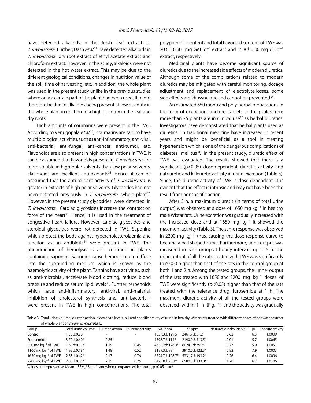have detected alkaloids in the fresh leaf extract of T. involucrata. Further, Dash et al.<sup>29</sup> have detected alkaloids in T. involucrata dry root extract of ethyl acetate extract and chloroform extract. However, in this study, alkaloids were not detected in the hot water extract. This may be due to the different geological conditions, changes in nutrition value of the soil, time of harvesting, etc. In addition, the whole plant was used in the present study unlike in the previous studies where only a certain part of the plant had been used. It might therefore be due to alkaloids being present at low quantity in the whole plant in relation to a high quantity in the leaf and dry roots.

High amounts of coumarins were present in the TWE. According to Venugopala *et al*.<sup>30</sup>, coumarins are said to have multi biological activities, such as anti-inflammatory, anti-viral, anti-bacterial, anti-fungal, anti-cancer, anti-tumor, etc. Flavonoids are also present in high concentrations in TWE. It can be assumed that flavonoids present in T. involucrata are more soluble in high polar solvents than low polar solvents. Flavonoids are excellent anti-oxidants<sup>31</sup>. Hence, it can be presumed that the anti-oxidant activity of T. involucrata is greater in extracts of high polar solvents. Glycosides had not been detected previously in T. involucrata whole plant<sup>32</sup>. However, in the present study glycosides were detected in T. involucrata. Cardiac glycosides increase the contraction force of the heart<sup>33</sup>. Hence, it is used in the treatment of congestive heart failure. However, cardiac glycosides and steroidal glycosides were not detected in TWE. Saponins which protect the body against hypercholesterolaemia and function as an antibiotic $34$  were present in TWE. The phenomenon of hemolysis is also common in plants containing saponins. Saponins cause hemoglobin to diffuse into the surrounding medium which is known as the haemolytic activity of the plant. Tannins have activities, such as anti-microbial, accelerate blood clotting, reduce blood pressure and reduce serum lipid levels<sup>35</sup>. Further, terpenoids which have anti-inflammatory, anti-viral, anti-malarial, inhibition of cholesterol synthesis and anti-bacterial $31$ were present in TWE in high concentrations. The total

polyphenolic content and total flavonoid content of TWE was 20.6 $\pm$ 0.60 mg GAE g<sup>-1</sup> extract and 15.8 $\pm$ 0.30 mg qE g<sup>-1</sup> extract, respectively.

Medicinal plants have become significant source of diuretics due to the increased side effects of modern diuretics. Although some of the complications related to modern diuretics may be mitigated with careful monitoring, dosage adjustment and replacement of electrolyte losses, some side effects are idiosyncratic and cannot be prevented<sup>36</sup>.

An estimated 650 mono and poly-herbal preparations in the form of decoction, tincture, tablets and capsules from more than 75 plants are in clinical use<sup>37</sup> as herbal diuretics. Investigators have demonstrated that herbal plants used as diuretics in traditional medicine have increased in recent years and might be beneficial as a tool in treating hypertension which is one of the dangerous complications of diabetes mellitus $38$ . In the present study, diuretic effect of TWE was evaluated. The results showed that there is a significant (p<0.05) dose-dependent diuretic activity and natriuretic and kaleuretic activity in urine excretion (Table 3). Since, the diuretic activity of TWE is dose-dependent, it is evident that the effect is intrinsic and may not have been the result from nonspecific action.

After 5 h, a maximum diuresis (in terms of total urine output) was observed at a dose of 1650 mg  $kg^{-1}$  in healthy male Wistar rats. Urine excretion was gradually increased with the increased dose and at 1650 mg  $kg^{-1}$  it showed the maximum activity (Table 3). The same response was observed in 2200 mg  $kg^{-1}$ , thus, causing the dose response curve to become a bell shaped curve. Furthermore, urine output was measured in each group at hourly intervals up to 5 h. The urine output of all the rats treated with TWE was significantly (p<0.05) higher than that of the rats in the control group at both 1 and 2 h. Among the tested groups, the urine output of the rats treated with 1650 and 2200  $mg$   $kg^{-1}$  doses of TWE were significantly ( $p$ <0.05) higher than that of the rats treated with the reference drug, furosemide at 1 h. The maximum diuretic activity of all the tested groups were observed within 1 h (Fig. 1) and the activity was gradually

Table 3: Total urine volume, diuretic action, electrolyte levels, pH and specific gravity of urine in healthy Wistar rats treated with different doses of hot water extract of whole plant of Tragia involucrata L.

| Group                             | Total urine volume  | Diuretic action          | Diuretic activity        | $Na+$ ppm           | $K^+$ ppm           | Natiuretic index Na <sup>+</sup> /K <sup>+</sup> | рH  | Specific gravity |
|-----------------------------------|---------------------|--------------------------|--------------------------|---------------------|---------------------|--------------------------------------------------|-----|------------------|
| Control                           | $1.30 \pm 0.28$     | $\overline{\phantom{a}}$ | $\sim$                   | 1537.3 ± 129.5      | $2461.7 \pm 51.2$   | 0.62                                             | 6.3 | 1.0009           |
| Furosemide                        | $3.70 \pm 0.60*$    | 2.85                     | $\overline{\phantom{0}}$ | $43987 + 114*$      | $7190.0 + 313.5*$   | 2.01                                             | 5.7 | 1.0065           |
| 550 mg kg $^{-1}$ of TWE          | $1.68 \pm 0.32*$    | 1.29                     | 0.45                     | $4655.7 \pm 126.3*$ | $6024.3 \pm 79.2*$  | 0.77                                             | 5.9 | 1.0057           |
| 1100 mg kg $^{-1}$ of TWE         | $1.93 \pm 0.18^*$   | 1.48                     | 0.52                     | $3189.3 + 99*$      | $3910.0 \pm 122.3*$ | 0.82                                             | 7.9 | 1.0003           |
| 1650 mg kg $^{-1}$ of TWE         | $2.83 \pm 0.42^*$   | 2.17                     | 0.76                     | $6724.7 \pm 198.7*$ | $5331.7 + 193.2*$   | 0.26                                             | 6.4 | 1.0096           |
| $2200$ mg kg <sup>-1</sup> of TWE | $2.80\!\pm\!0.05^*$ | 2.15                     | 0.75                     | 8425.0 ± 78.1*      | $6580.3 \pm 133.0*$ | .28                                              | 6.7 | 1.0106           |

Values are expressed as Mean $\pm$ SEM, \*Significant when compared with control, p  $\leq$  0.05, n = 6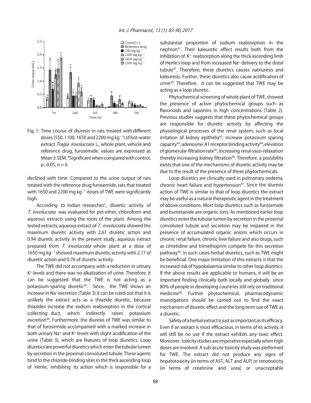

Fig. 1: Time course of diuresis in rats treated with different doses (550, 1100, 1650 and 2200 mg  $kg^{-1}$ ) of hot-water extract Tragia involucrata L., whole plant, vehicle and reference drug, furosemide, values are expressed as Mean±SEM, \*Significant when compared with control,  $p \le 0.05$ , n = 6

declined with time. Compared to the urine output of rats treated with the reference drug furosemide, rats that treated with 1650 and 2200 mg kg $^{-1}$  doses of TWE were significantly high.

According to Indian researches<sup>5</sup>, diuretic activity of T. involucrata was evaluated for pet-ether, chloroform and aqueous extracts using the roots of the plant. Among the tested extracts, aqueous extract of T. involucrata showed the maximum diuretic activity with 2.61 diuretic action and 0.94 diuretic activity. In the present study, aqueous extract prepared from T. involucrata whole plant at a dose of 1650 mg  $kg^{-1}$  showed maximum diuretic activity with 2.17 of diuretic action and 0.76 of diuretic activity.

The TWE did not accompany with a reduction in urinary K+ levels and there was no alkalization of urine. Therefore, it can be suggested that the TWE is not acting as a potassium-sparing diuretic<sup>39</sup>. Since, the TWE shows an increase in Na+ excretion (Table 3) it can be ruled out that it is unlikely the extract acts as a thiazide diuretic, because thiazides increase the sodium reabsorption in the cortical collecting duct, which indirectly raises potassium excretion<sup>40</sup>. Furthermore, the diuresis of TWE was similar to that of furosemide accompanied with a marked increase in both urinary Na<sup>+</sup> and K<sup>+</sup> levels with slight acidification of the urine (Table 3), which are features of loop diuretics. Loop diuretics are powerful diuretics which enter the tubular lumen by secretion in the proximal convoluted tubule. These agents bind to the chloride-binding sites in the thick ascending loop of Henle, inhibiting its action which is responsible for a

substantial proportion of sodium reabsorption in the nephron<sup>41</sup>. Their kaleuretic effect results both from the inhibition of  $K<sup>+</sup>$  reabsorption along the thick ascending limb of Henle's loop and from increased Na<sup>+</sup> delivery to the distal tubule41. Therefore, these diuretics causes natriuresis and kaleuresis. Further, these diuretics also cause acidification of urine<sup>39</sup>. Therefore, it can be suggested that TWE may be acting as a loop diuretic.

Phytochemical screening of whole plant of TWE, showed the presence of active phytochemical groups such as flavonoids and saponins in high concentrations (Table 2). Previous studies suggests that these phytochemical groups are responsible for diuretic activity by affecting the physiological processes of the renal system, such as local irritation of kidney epithelia<sup>42</sup>, increase potassium sparing capacity<sup>43</sup>, adenosine A1 receptor binding activity<sup>44</sup>, elevation of glomerular filtration rate<sup>45</sup>, increasing renal vaso-relaxation thereby increasing kidney filtration<sup>46</sup>. Therefore, a possibility exists that one of the mechanisms of diuretic activity may be due to the result of the presence of these phytochemicals.

Loop diuretics are clinically used in pulmonary oedema, chronic heart failure and hypertension<sup>47</sup>. Since the diuresis action of TWE is similar to that of loop diuretics the extract may be useful as a natural therapeutic agent in the treatment of above conditions. Most loop diuretics such as furosemide and bumetanide are organic ions. As mentioned earlier loop diuretics enter the tubular lumen by secretion in the proximal convoluted tubule and secretion may be impaired in the presence of accumulated organic anions which occurs in chronic renal failure, chronic liver failure and also drugs, such as cimetidine and trimethoprim compete for this secretion pathway<sup>40</sup>. In such cases herbal diuretics, such as TWE might be beneficial. One major limitation of this extracts is that the increased risk of hypokalaemia similar to other loop diuretics. If the above results are applicable to humans, it will be an important finding clinically both locally and globally since 80% of people in developing countries still rely on traditional medicine48. Further phytochemical, pharmacodynamic investigations should be carried out to find the exact mechanism of diuretic effect and the long term use of TWE as a diuretic.

Safety of a herbal extract is just as important as its efficacy. Even if an extract is most efficacious, in terms of its activity, it will still be no use if the extract exhibits any toxic effect. Moreover, toxicity studies are imperative especially when high doses are involved. A sub-acute toxicity study was performed for TWE. The extract did not produce any signs of hepatotoxicity (in terms of AST, ALT and ALP) or renotoxicity (in terms of creatinine and urea) or unacceptable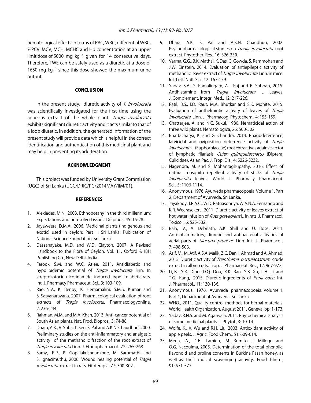hematological effects in terms of RBC, WBC, differential WBC, %PCV, MCV, MCH, MCHC and Hb concentration at an upper limit dose of 5000 mg  $kg^{-1}$  given for 14 consecutive days. Therefore, TWE can be safely used as a diuretic at a dose of 1650 mg  $kg^{-1}$  since this dose showed the maximum urine output.

#### CONCLUSION

In the present study, diuretic activity of T. involucrata was scientifically investigated for the first time using the aqueous extract of the whole plant. Tragia involucrata exhibits significant diuretic activity and it acts similar to that of a loop diuretic. In addition, the generated information of the present study will provide data which is helpful in the correct identification and authentication of this medicinal plant and may help in preventing its adulteration.

#### ACKNOWLEDGMENT

This project was funded by University Grant Commission (UGC) of Sri Lanka (UGC/DRIC/PG/2014MAY/IIM/01).

#### **REFERENCES**

- 1. Alexiades, M.N., 2003. Ethnobotany in the third millennium: Expectations and unresolved issues. Delpinoa, 45: 15-28.
- 2. Jayaweera, D.M.A., 2006. Medicinal plants (indigenous and exotic) used in ceylon: Part II. Sri Lanka: Publication of National Science Foundation, Sri Lanka.
- 3. Dassanayake, M.D. and W.D. Clayton, 2007. A Revised Handbook to the Flora of Ceylon. Vol. 11, Oxford & IBH Publishing Co., New Delhi, India.
- 4. Farook, S.M. and W.C. Atlee, 2011. Antidiabetic and hypolipidemic potential of Tragia involucrata linn. In streptozotocin-nicotinamide induced type II diabetic rats. Int. J. Pharmacy Pharmaceut. Sci., 3: 103-109.
- 5. Rao, N.V., K. Benoy, K. Hemamalini, S.M.S. Kumar and S. Satyanarayana, 2007. Pharmacological evaluation of root extracts of Tragia involucrata. Pharmacologyonline, 2: 236-244.
- 6. Rahman, M.M. and M.A. Khan, 2013. Anti-cancer potential of South Asian plants. Nat. Prod. Biopros., 3: 74-88.
- 7. Dhara, A.K., V. Suba, T. Sen, S. Pal and A.K.N. Chaudhuri, 2000. Preliminary studies on the anti-inflammatory and analgesic activity of the methanolic fraction of the root extract of Tragia involucrata Linn. J. Ethnopharmacol., 72: 265-268.
- 8. Samy, R.P., P. Gopalakrishnankone, M. Sarumathi and S. Ignacimuthu, 2006. Wound healing potential of *Tragia* involucrata extract in rats. Fitoterapia, 77: 300-302.
- 9. Dhara, A.K., S. Pal and A.K.N. Chaudhuri, 2002. Psychopharmacological studies on *Tragia involucrata* root extract. Phytother. Res., 16: 326-330.
- 10. Varma, G.G., B.K. Mathai, K. Das, G. Gowda, S. Rammohan and J.W. Einstein, 2014. Evaluation of antiepileptic activity of methanolic leaves extract of *Tragia involucrata* Linn. in mice. Int. Lett. Natl. Sci., 12: 167-179.
- 11. Yadav, S.A., S. Ramalingam, A.J. Raj and R. Subban, 2015. Antihistamine from Tragia involucrata L. Leaves. J. Complement. Integr. Med., 12: 217-226.
- 12. Patil, B.S., I.D. Raut, M.A. Bhutkar and S.K. Mohite, 2015. Evaluation of anthelmintic activity of leaves of Tragia involucrata Linn. J. Pharmacog. Phytochem., 4: 155-159.
- 13. Chatterjee, A. and N.C. Sukul, 1980. Nematicidal action of three wild plants. Nematologica, 26: 500-502.
- 14. Bhattacharya, K. and G. Chandra, 2014. Phagodeterrence, larvicidal and oviposition deterrence activity of Tragia involucrata L. (Euphorbiaceae) root extractives against vector of lymphatic filariasis Culex quinquefasciatus (Diptera: Culicidae). Asian Pac. J. Trop. Dis., 4: S226-S232.
- 15. Nagendra, M. and S. Mohanraghupathy, 2016. Effect of natural mosquito repellent activity of sticks of Tragia involucrata leaves. World J. Pharmacy Pharmaceut. Sci., 5: 1106-1114.
- 16. Anonymous, 1976. Ayurveda pharmacopoeia. Volume 1, Part 2, Department of Ayurveda, Sri Lanka.
- 17. Jayakody, J.R.A.C., W.D. Ratnasooriya, W.A.N.A. Fernando and K.R. Weerasekera, 2011. Diuretic activity of leaves extract of hot water infusion of Ruta graveolens L. in rats. J. Pharmacol. Toxicol., 6: 525-532.
- 18. Bala, V., A. Debnath, A.K. Shill and U. Bose, 2011. Anti-inflammatory, diuretic and antibacterial activities of aerial parts of Mucuna pruriens Linn. Int. J. Pharmacol., 7: 498-503.
- 19. Asif, M., M. Atif, A.S.A. Malik, Z.C. Dan, I. Ahmad and A. Ahmad, 2013. Diuretic activity of Trianthema portulacastrum crude extract in albino rats. Trop. J. Pharmaceut. Res., 12: 967-972.
- 20. Li, B., Y.X. Ding, D.Q. Dou, X.K. Ran, Y.B. Xu, L.H. Li and T.G. Kang, 2015. Diuretic ingredients of Poria coco. Int. J. Pharmacol., 11: 130-136.
- 21. Anonymous, 1976. Ayurveda pharmacopoeia. Volume 1, Part 1, Department of Ayurveda, Sri Lanka.
- 22. WHO., 2011. Quality control methods for herbal materials. World Health Organization, August 2011, Geneva, pp: 1-173.
- 23. Yadav, R.N.S. and M. Agarwala, 2011. Phytochemical analysis of some medicinal plants. J. Phytol., 3: 10-14.
- 24. Wolfe, K., X. Wu and R.H. Liu, 2003. Antioxidant activity of apple peels. J. Agric. Food Chem., 51: 609-614.
- 25. Meda, A., C.E. Lamien, M. Romito, J. Millogo and O.G. Nacoulma, 2005. Determination of the total phenolic, flavonoid and proline contents in Burkina Fasan honey, as well as their radical scavenging activity. Food Chem., 91: 571-577.